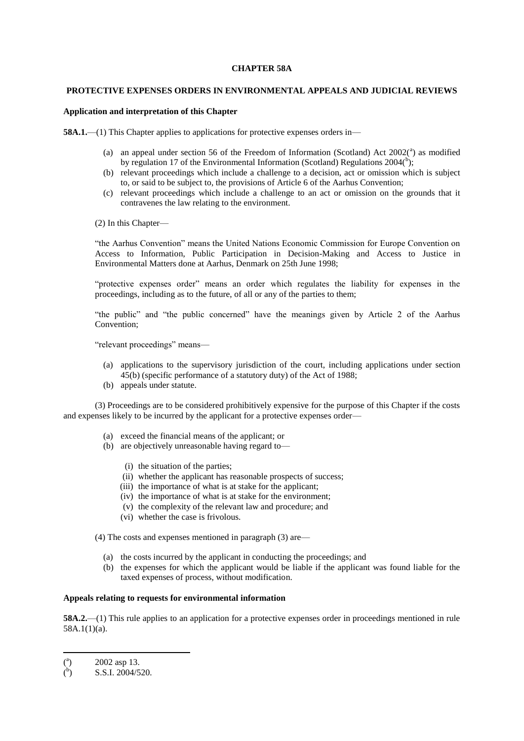#### **CHAPTER 58A**

## **PROTECTIVE EXPENSES ORDERS IN ENVIRONMENTAL APPEALS AND JUDICIAL REVIEWS**

# **Application and interpretation of this Chapter**

**58A.1.**—(1) This Chapter applies to applications for protective expenses orders in—

- (a) an appeal under section 56 of the Freedom of Information (Scotland) Act  $2002$ <sup>(a</sup>) as modified by regulation 17 of the Environmental Information (Scotland) Regulations  $2004<sup>(b)</sup>$ ;
- (b) relevant proceedings which include a challenge to a decision, act or omission which is subject to, or said to be subject to, the provisions of Article 6 of the Aarhus Convention;
- (c) relevant proceedings which include a challenge to an act or omission on the grounds that it contravenes the law relating to the environment.
- (2) In this Chapter—

"the Aarhus Convention" means the United Nations Economic Commission for Europe Convention on Access to Information, Public Participation in Decision-Making and Access to Justice in Environmental Matters done at Aarhus, Denmark on 25th June 1998;

"protective expenses order" means an order which regulates the liability for expenses in the proceedings, including as to the future, of all or any of the parties to them;

"the public" and "the public concerned" have the meanings given by Article 2 of the Aarhus Convention;

"relevant proceedings" means—

- (a) applications to the supervisory jurisdiction of the court, including applications under section 45(b) (specific performance of a statutory duty) of the Act of 1988;
- (b) appeals under statute.

(3) Proceedings are to be considered prohibitively expensive for the purpose of this Chapter if the costs and expenses likely to be incurred by the applicant for a protective expenses order—

- (a) exceed the financial means of the applicant; or
- (b) are objectively unreasonable having regard to—
	- (i) the situation of the parties;
	- (ii) whether the applicant has reasonable prospects of success;
	- (iii) the importance of what is at stake for the applicant;
	- (iv) the importance of what is at stake for the environment;
	- (v) the complexity of the relevant law and procedure; and
	- (vi) whether the case is frivolous.

(4) The costs and expenses mentioned in paragraph (3) are—

- (a) the costs incurred by the applicant in conducting the proceedings; and
- (b) the expenses for which the applicant would be liable if the applicant was found liable for the taxed expenses of process, without modification.

# **Appeals relating to requests for environmental information**

**58A.2.**—(1) This rule applies to an application for a protective expenses order in proceedings mentioned in rule 58A.1(1)(a).

**.** 

 $\binom{a}{b}$ ) 2002 asp 13.

 $\mathcal{O}$ ) S.S.I. 2004/520.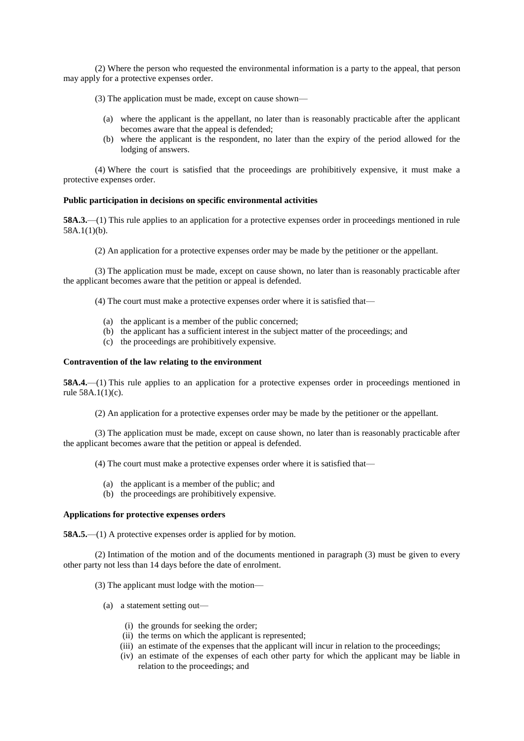(2) Where the person who requested the environmental information is a party to the appeal, that person may apply for a protective expenses order.

(3) The application must be made, except on cause shown—

- (a) where the applicant is the appellant, no later than is reasonably practicable after the applicant becomes aware that the appeal is defended;
- (b) where the applicant is the respondent, no later than the expiry of the period allowed for the lodging of answers.

(4) Where the court is satisfied that the proceedings are prohibitively expensive, it must make a protective expenses order.

### **Public participation in decisions on specific environmental activities**

**58A.3.—(1)** This rule applies to an application for a protective expenses order in proceedings mentioned in rule 58A.1(1)(b).

(2) An application for a protective expenses order may be made by the petitioner or the appellant.

(3) The application must be made, except on cause shown, no later than is reasonably practicable after the applicant becomes aware that the petition or appeal is defended.

(4) The court must make a protective expenses order where it is satisfied that—

- (a) the applicant is a member of the public concerned;
- (b) the applicant has a sufficient interest in the subject matter of the proceedings; and
- (c) the proceedings are prohibitively expensive.

# **Contravention of the law relating to the environment**

**58A.4.**—(1) This rule applies to an application for a protective expenses order in proceedings mentioned in rule 58A.1(1)(c).

(2) An application for a protective expenses order may be made by the petitioner or the appellant.

(3) The application must be made, except on cause shown, no later than is reasonably practicable after the applicant becomes aware that the petition or appeal is defended.

(4) The court must make a protective expenses order where it is satisfied that—

- (a) the applicant is a member of the public; and
- (b) the proceedings are prohibitively expensive.

# **Applications for protective expenses orders**

**58A.5.**—(1) A protective expenses order is applied for by motion.

(2) Intimation of the motion and of the documents mentioned in paragraph (3) must be given to every other party not less than 14 days before the date of enrolment.

- (3) The applicant must lodge with the motion—
	- (a) a statement setting out—
		- (i) the grounds for seeking the order;
		- (ii) the terms on which the applicant is represented;
		- (iii) an estimate of the expenses that the applicant will incur in relation to the proceedings;
		- (iv) an estimate of the expenses of each other party for which the applicant may be liable in relation to the proceedings; and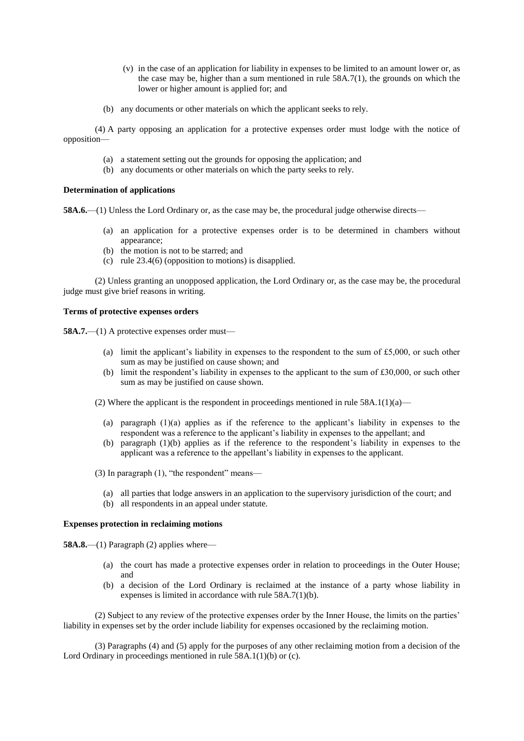- (v) in the case of an application for liability in expenses to be limited to an amount lower or, as the case may be, higher than a sum mentioned in rule 58A.7(1), the grounds on which the lower or higher amount is applied for; and
- (b) any documents or other materials on which the applicant seeks to rely.

(4) A party opposing an application for a protective expenses order must lodge with the notice of opposition—

- (a) a statement setting out the grounds for opposing the application; and
- (b) any documents or other materials on which the party seeks to rely.

# **Determination of applications**

**58A.6.**—(1) Unless the Lord Ordinary or, as the case may be, the procedural judge otherwise directs—

- (a) an application for a protective expenses order is to be determined in chambers without appearance;
- (b) the motion is not to be starred; and
- (c) rule 23.4(6) (opposition to motions) is disapplied.

(2) Unless granting an unopposed application, the Lord Ordinary or, as the case may be, the procedural judge must give brief reasons in writing.

### **Terms of protective expenses orders**

**58A.7.**—(1) A protective expenses order must—

- (a) limit the applicant's liability in expenses to the respondent to the sum of £5,000, or such other sum as may be justified on cause shown; and
- (b) limit the respondent's liability in expenses to the applicant to the sum of £30,000, or such other sum as may be justified on cause shown.
- (2) Where the applicant is the respondent in proceedings mentioned in rule  $58A.1(1)(a)$ 
	- (a) paragraph (1)(a) applies as if the reference to the applicant's liability in expenses to the respondent was a reference to the applicant's liability in expenses to the appellant; and
	- (b) paragraph (1)(b) applies as if the reference to the respondent's liability in expenses to the applicant was a reference to the appellant's liability in expenses to the applicant.
- (3) In paragraph (1), "the respondent" means—
	- (a) all parties that lodge answers in an application to the supervisory jurisdiction of the court; and
- (b) all respondents in an appeal under statute.

### **Expenses protection in reclaiming motions**

**58A.8.—(1)** Paragraph (2) applies where—

- (a) the court has made a protective expenses order in relation to proceedings in the Outer House; and
- (b) a decision of the Lord Ordinary is reclaimed at the instance of a party whose liability in expenses is limited in accordance with rule 58A.7(1)(b).

(2) Subject to any review of the protective expenses order by the Inner House, the limits on the parties' liability in expenses set by the order include liability for expenses occasioned by the reclaiming motion.

(3) Paragraphs (4) and (5) apply for the purposes of any other reclaiming motion from a decision of the Lord Ordinary in proceedings mentioned in rule 58A.1(1)(b) or (c).